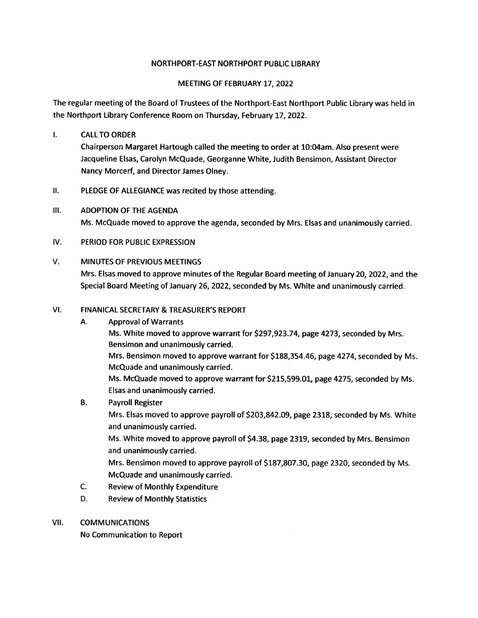#### NORTHPORT-EAST NORTHPORT PUBLIC LIBRARY

#### MEETING OF FEBRUARY 17, 2022

The regular meeting of the Board of Trustees of the Northport-East Northport Public Library was held in the Northport Library Conference Room on Thursday, February 17, 2022.

#### I. CALLTO ORDER

Chairperson Margaret Hartough called the meeting to order at 10:04am. Also presen<sup>t</sup> were Jacqueline Elsas, Carolyn McQuade, Georganne White, Judith Bensimon, Assistant Director Nancy Morcerf, and Director James Olney.

- II. PLEDGE OF ALLEGIANCE was recited by those attending.
- Ill. ADOPTION OF THE AGENDA Ms. McQuade moved to approve the agenda, seconded by Mrs. Elsas and unanimously carried.

#### IV. PERIOD FOR PUBLIC EXPRESSION

#### V. MINUTES OF PREVIOUS MEETINGS

Mrs. Elsas moved to approve minutes of the Regular Board meeting of January 20, 2022, and the Special Board Meeting of January 26, 2022, seconded by Ms. White and unanimously carried.

#### VI. FINANICAL SECRETARY & TREASURER'S REPORT

- A. Approval of Warrants Ms. White moved to approve warrant for \$297,923.74, page 4273, seconded by Mrs. Bensimon and unanimously carried. Mrs. Bensimon moved to approve warrant for \$188,354.46, page 4274, seconded by Ms. McQuade and unanimously carried. Ms. McQuade moved to approve warrant for \$215,599.01, page 4275, seconded by Ms. Elsas and unanimously carried. B. Payroll Register
	- Mrs. Elsas moved to approve payroll of \$203,842.09, page 2318, seconded by Ms. White

and unanimously carried. Ms. White moved to approve payroll of \$4.38, page 2319, seconded by Mrs. Bensimon and unanimously carried.

Mrs. Bensimon moved to approve payroll of \$187,807.30, page 2320, seconded by Ms. McQuade and unanimously carried.

- C. Review of Monthly Expenditure
- D. Review of Monthly Statistics
- VII. COMMUNICATIONS

No Communication to Report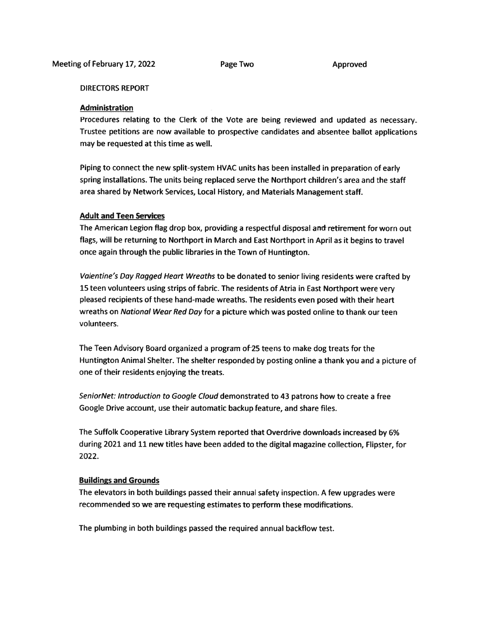#### DIRECTORS REPORT

#### **Administration**

Procedures relating to the Clerk of the Vote are being reviewed and updated as necessary. Trustee petitions are now available to prospective candidates and absentee ballot applications may be requested at this time as well.

Piping to connect the new split-system HVAC units has been installed in preparation of early spring installations. The units being replaced serve the Northport children's area and the staff area shared by Network Services, Local History, and Materials Management staff.

#### **Adult and Teen Services**

The American Legion flag drop box, providing a respectful disposal and retirement for worn out flags, will be returning to Northport in March and East Northport in April as it begins to travel once again through the public libraries in the Town of Huntington.

Valentine's Day Ragged Heart Wreaths to be donated to senior living residents were crafted by 15 teen volunteers using strips of fabric. The residents of Atria in East Northport were very <sup>p</sup>leased recipients of these hand-made wreaths. The residents even posed with their heart wreaths on National Wear Red Day for <sup>a</sup> <sup>p</sup>icture which was posted online to thank our teen volunteers.

The Teen Advisory Board organized <sup>a</sup> program of25 teens to make dog treats for the Huntington Animal Shelter. The shelter responded by posting online <sup>a</sup> thank you and <sup>a</sup> <sup>p</sup>icture of one of their residents enjoying the treats.

SeniorNet: Introduction to Google Cloud demonstrated to 43 patrons how to create <sup>a</sup> free Google Drive account, use their automatic backup feature, and share files.

The Suffolk Cooperative Library System reported that Overdrive downloads increased by 6% during 2021 and <sup>11</sup> new titles have been added to the digital magazine collection, Flipster, for 2022.

#### Buildings and Grounds

The elevators in both buildings passed their annual safety inspection. <sup>A</sup> few upgrades were recommended so we are requesting estimates to perform these modifications.

The plumbing in both buildings passed the required annual backflow test.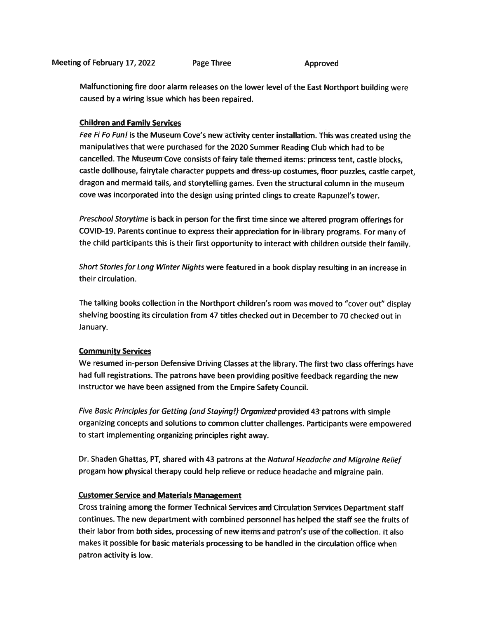Malfunctioning fire door alarm releases on the lower level of the East Northport building were caused by <sup>a</sup> wiring issue which has been repaired.

#### Children and Family Services

Fee Fi Fo Fun! is the Museum Cove's new activity center installation. This was created using the manipulatives that were purchased for the 2020 Summer Reading Club which had to be cancelled. The Museum Cove consists of fairy tale themed items: princess tent, castle blocks, castle dollhouse, fairytale character puppets and dress-up costumes, floor puzzles, castle carpet, dragon and mermaid tails, and storytelling games. Even the structural column in the museum cove was incorporated into the design using printed clings to create Rapunzel's tower.

Preschool Storytime is back in person for the first time since we altered program offerings for COVID-19. Parents continue to express their appreciation for in-library programs. For many of the child participants this is their first opportunity to interact with children outside their family.

Short Stories for Long Winter Nights were featured in a book display resulting in an increase in their circulation.

The talking books collection in the Northport children's room was moved to "cover out" display shelving boosting its circulation from 47 titles checked out in December to 70 checked out in January.

#### Community Services

We resumed in-person Defensive Driving Classes at the library. The first two class offerings have had full registrations. The patrons have been providing positive feedback regarding the new instructor we have been assigned from the Empire Safety Council.

Five Basic Principles for Getting (and Staying!) Organized provided 43 patrons with simple organizing concepts and solutions to common clutter challenges. Participants were empowere<sup>d</sup> to start implementing organizing principles right away.

Dr. Shaden Ghattas, PT, shared with <sup>43</sup> patrons at the Natural Headache and Migraine Relief progam how <sup>p</sup>hysical therapy could help relieve or reduce headache and migraine pain.

#### Customer Service and Materials Management

Cross training among the former Technical Services and Circulation Services Department staff continues. The new department with combined personne<sup>l</sup> has helped the staff see the fruits of their labor from both sides, processing of new items and patron's use of the collection. It also makes it possible for basic materials processing to be handled in the circulation office when patron activity is low.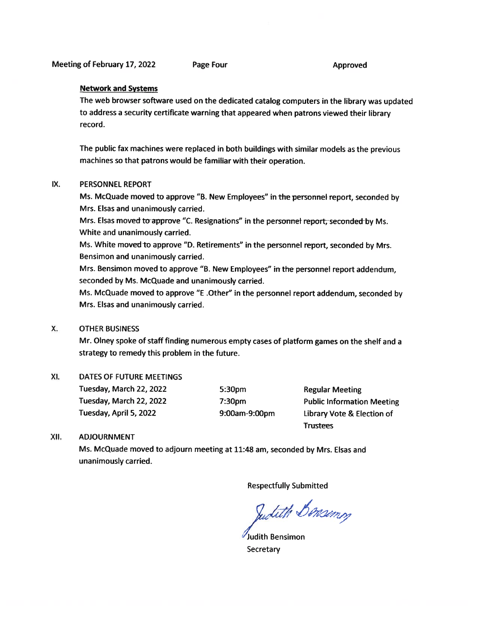#### Network and Systems

The web browser software used on the dedicated catalog computers in the library was updated to address <sup>a</sup> security certificate warning that appeare<sup>d</sup> when patrons viewed their library record.

The public fax machines were replaced in both buildings with similar models as the previous machines so that patrons would be familiar with their operation.

#### IX. PERSONNEL REPORT

Ms. McQuade moved to approve "B. New Employees" in the personne<sup>l</sup> report, seconded by Mrs. Elsas and unanimously carried.

Mrs. Elsas moved to approve "C. Resignations" in the personnel report, seconded by Ms. White and unanimously carried.

Ms. White moved to approve "D. Retirements" in the personnel report, seconded by Mrs. Bensimon and unanimously carried.

Mrs. Bensimon moved to approve "B. New Employees" in the personnel report addendum, seconded by Ms. McQuade and unanimously carried.

Ms. McQuade moved to approve "E .Other" in the personne<sup>l</sup> repor<sup>t</sup> addendum, seconded by Mrs. Elsas and unanimously carried.

#### X. OTHER BUSINESS

Mr. Olney spoke of staff finding numerous empty cases of <sup>p</sup>latform games on the shelf and <sup>a</sup> strategy to remedy this problem in the future.

#### Xl. DATES OF FUTURE MEETINGS

Tuesday, March 22, 2022 5:30pm Regular Meeting Tuesday, April 5, <sup>2022</sup> 9:OOam-9:OOpm Library Vote & Election of

Tuesday, March 22, <sup>2022</sup> 7:30pm Public Information Meeting Trustees

#### XII. ADJOURNMENT

Ms. McQuade moved to adjourn meeting at 11:48 am, seconded by Mrs. Elsas and unanimously carried.

Respectfully Submitted

Sudith Bonsimm

Judith Bensimon **Secretary**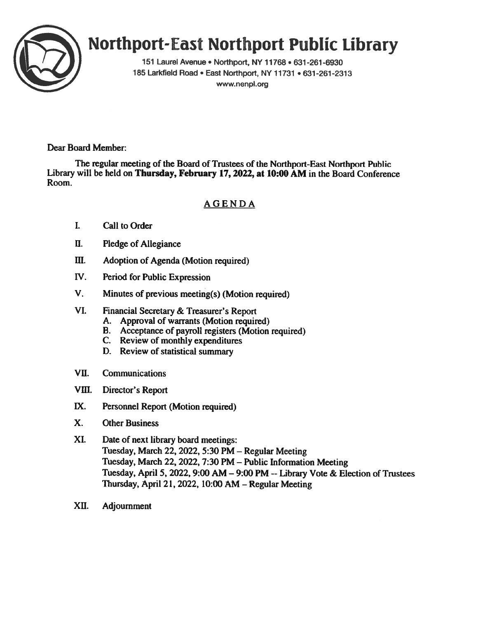

# Northport-East Northport Public Library

151 Laurel Avenue • Northport, NY 11768 • 631-261-6930 185 Larkfield Road • East Northport, NY 11731 • 631-261-2313 www.nenpl.org

Dear Board Member:

The regular meeting of the Board of Trustees of the Northport-East Northport Public Library will be held on Thursday, February 17, 2022, at 10:00 AM in the Board Conference Room.

### AGENDA

- I. Call to Order
- U. Pledge of Allegiance
- III. Adoption of Agenda (Motion required)
- IV. Period for Public Expression
- V. Minutes of previous meeting(s) (Motion required)
- VI. Financial Secretary & Treasurer's Report
	- A. Approval of warrants (Motion required)
	- B. Acceptance of payroll registers (Motion required)
	- C. Review of monthly expenditures
	- D. Review of statistical summary
- VU. Communications
- Vifi. Director's Report
- IX. Personnel Report (Motion required)
- X. Other Business
- XI. Date of next library board meetings: Tuesday, March 22, 2022, 5:30 PM — Regular Meeting Tuesday, March 22, 2022, 7:30 PM — Public Information Meeting Tuesday, April 5, 2022, 9:00 AM — 9:00 PM --Library Vote & Election of Trustees Thursday, April 21, 2022, 10:00 AM — Regular Meeting
- XII. Adjournment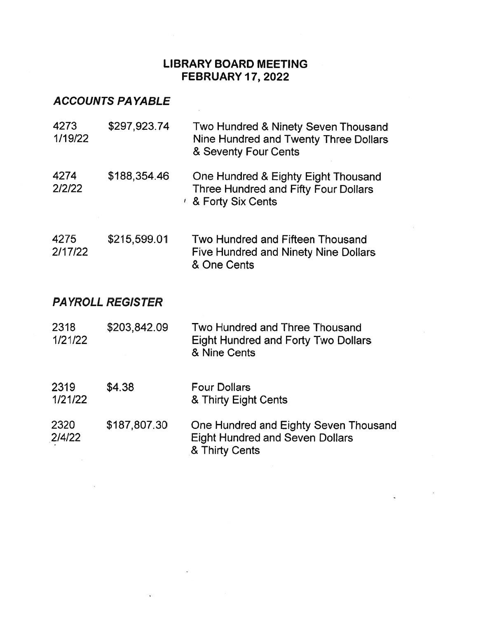### LIBRARY BOARD MEETING FEBRUARY 17,2022

 $\frac{1}{\sqrt{2}}$ 

## ACCOUNTS PAYABLE

| 4273<br>1/19/22         | \$297,923.74 | Two Hundred & Ninety Seven Thousand<br>Nine Hundred and Twenty Three Dollars<br>& Seventy Four Cents           |  |  |  |  |
|-------------------------|--------------|----------------------------------------------------------------------------------------------------------------|--|--|--|--|
| 4274<br>2/2/22          | \$188,354.46 | One Hundred & Eighty Eight Thousand<br><b>Three Hundred and Fifty Four Dollars</b><br><b>8 Forty Six Cents</b> |  |  |  |  |
| 4275<br>2/17/22         | \$215,599.01 | Two Hundred and Fifteen Thousand<br><b>Five Hundred and Ninety Nine Dollars</b><br>& One Cents                 |  |  |  |  |
| <b>PAYROLL REGISTER</b> |              |                                                                                                                |  |  |  |  |
| 2318<br>1/21/22         | \$203,842.09 | Two Hundred and Three Thousand<br><b>Eight Hundred and Forty Two Dollars</b><br>& Nine Cents                   |  |  |  |  |
| 2319<br>1/21/22         | \$4.38       | <b>Four Dollars</b><br>& Thirty Eight Cents                                                                    |  |  |  |  |
| 2320<br>2/4/22          | \$187,807.30 | One Hundred and Eighty Seven Thousand<br><b>Eight Hundred and Seven Dollars</b><br>& Thirty Cents              |  |  |  |  |

 $\tilde{\mathbf{v}}$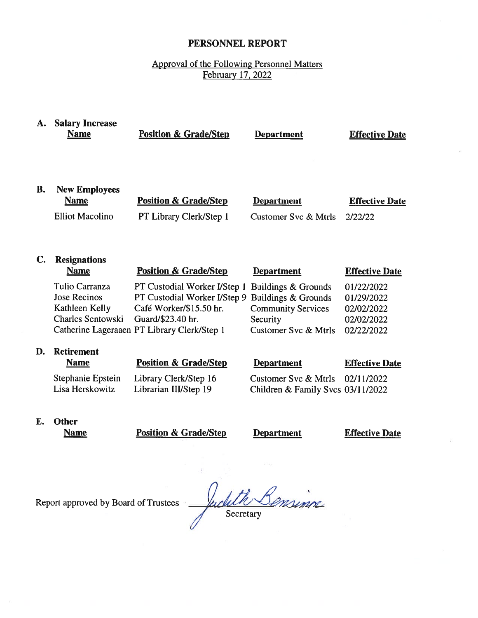### PERSONNEL REPORT

### Approval of the Following Personnel Matters February 17, 2022

| A. | <b>Salary Increase</b><br><b>Name</b>                                        | <b>Position &amp; Grade/Step</b>                                                                                                                            | <b>Department</b>                                                                                                      | <b>Effective Date</b>                                              |
|----|------------------------------------------------------------------------------|-------------------------------------------------------------------------------------------------------------------------------------------------------------|------------------------------------------------------------------------------------------------------------------------|--------------------------------------------------------------------|
| В. | <b>New Employees</b><br><b>Name</b><br><b>Elliot Macolino</b>                | <b>Position &amp; Grade/Step</b><br>PT Library Clerk/Step 1                                                                                                 | <b>Department</b><br>Customer Svc & Mtrls                                                                              | <b>Effective Date</b><br>2/22/22                                   |
| C. | <b>Resignations</b><br><b>Name</b>                                           | <b>Position &amp; Grade/Step</b>                                                                                                                            | <b>Department</b>                                                                                                      | <b>Effective Date</b>                                              |
|    | Tulio Carranza<br><b>Jose Recinos</b><br>Kathleen Kelly<br>Charles Sentowski | PT Custodial Worker I/Step 1<br>PT Custodial Worker I/Step 9<br>Café Worker/\$15.50 hr.<br>Guard/\$23.40 hr.<br>Catherine Lageraaen PT Library Clerk/Step 1 | Buildings & Grounds<br>Buildings & Grounds<br><b>Community Services</b><br>Security<br><b>Customer Svc &amp; Mtrls</b> | 01/22/2022<br>01/29/2022<br>02/02/2022<br>02/02/2022<br>02/22/2022 |
| D. | <b>Retirement</b><br><b>Name</b>                                             | <b>Position &amp; Grade/Step</b>                                                                                                                            | <b>Department</b>                                                                                                      | <b>Effective Date</b>                                              |
|    | Stephanie Epstein<br>Lisa Herskowitz                                         | Library Clerk/Step 16<br>Librarian III/Step 19                                                                                                              | Customer Syc & Mtrls<br>Children & Family Svcs 03/11/2022                                                              | 02/11/2022                                                         |
|    | <b>Б. Ал.</b>                                                                |                                                                                                                                                             |                                                                                                                        |                                                                    |

E. Other

Name **Position & Grade/Step** Department **Effective Date** 

Report approved by Board of Trustees

n<br>Minne uclit X